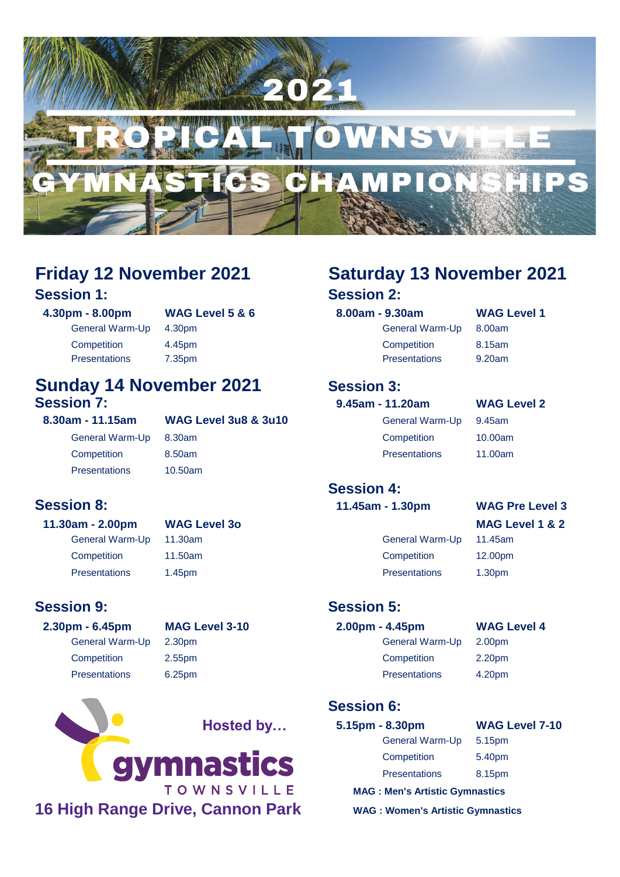

# **Session 1: Session 2:**

### **4.30pm - 8.00pm WAG Level 5 & 6 8.00am - 9.30am WAG Level 1**

Competition 4.45pm Competition 8.15am Presentations 7.35pm Presentations 9.20am

## **Session 7: 9.45am - 11.20am WAG Level 2 Sunday 14 November 2021**

## **8.30am - 11.15am WAG Level 3u8 & 3u10** General Warm-Up 9.45am General Warm-Up 8.30am Competition 10.00am

Presentations 10.50am

Competition 8.50am Presentations 11.00am

General Warm-Up 11.30am General Warm-Up 11.45am

## **Session 9: Session 5:**

### **2.30pm - 6.45pm MAG Level 3-10 2.00pm - 4.45pm WAG Level 4**

**Hosted by…**



# **Friday 12 November 2021 Saturday 13 November 2021**

General Warm-Up 4.30pm General Warm-Up 8.00am

## **Session 3:**

## **Session 4:**

**Session 8: 11.45am - 1.30pm WAG Pre Level 3**

# **11.30am - 2.00pm WAG Level 3o MAG Level 1 & 2**

Competition 11.50am Competition 12.00pm Presentations 1.45pm **Presentations** 1.30pm

General Warm-Up 2.30pm General Warm-Up 2.00pm Competition 2.55pm Competition 2.20pm Presentations 6.25pm 6.25pm Presentations 4.20pm

## **Session 6:**

**5.15pm - 8.30pm WAG Level 7-10**

General Warm-Up 5.15pm Competition 5.40pm

Presentations 8.15pm **MAG : Men's Artistic Gymnastics**

- 
- 
-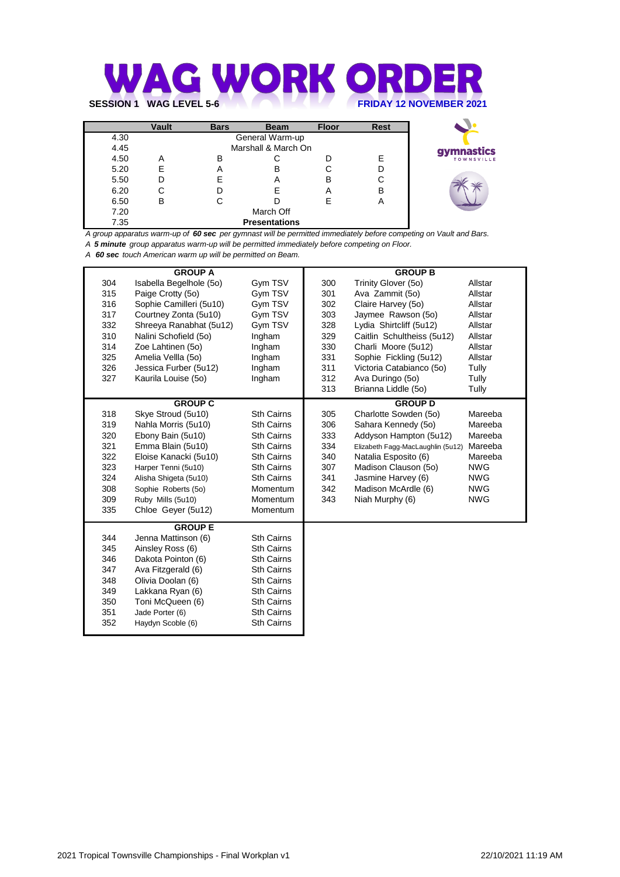# SESSION 1 WAG LEVEL 5-6 **WORK ORDER**

|      | Vault | <b>Bars</b> | <b>Beam</b>          | <b>Floor</b> | <b>Rest</b> |
|------|-------|-------------|----------------------|--------------|-------------|
| 4.30 |       |             | General Warm-up      |              |             |
| 4.45 |       |             | Marshall & March On  |              |             |
| 4.50 | А     | в           | ◡                    |              | Е           |
| 5.20 | F     | Α           | В                    | С            |             |
| 5.50 |       | E           | A                    | В            |             |
| 6.20 | С     |             |                      | Α            | в           |
| 6.50 | в     |             |                      | E            | A           |
| 7.20 |       |             | March Off            |              |             |
| 7.35 |       |             | <b>Presentations</b> |              |             |

*A group apparatus warm-up of 60 sec per gymnast will be permitted immediately before competing on Vault and Bars. A 5 minute group apparatus warm-up will be permitted immediately before competing on Floor.*

*A 60 sec touch American warm up will be permitted on Beam.*

|     | <b>GROUP A</b>          |                   |     | <b>GROUP B</b>                    |            |
|-----|-------------------------|-------------------|-----|-----------------------------------|------------|
| 304 | Isabella Begelhole (50) | Gym TSV           | 300 | Trinity Glover (50)               | Allstar    |
| 315 | Paige Crotty (50)       | Gym TSV           | 301 | Ava Zammit (50)                   | Allstar    |
| 316 | Sophie Camilleri (5u10) | Gym TSV           | 302 | Claire Harvey (50)                | Allstar    |
| 317 | Courtney Zonta (5u10)   | Gym TSV           | 303 | Jaymee Rawson (5o)                | Allstar    |
| 332 | Shreeya Ranabhat (5u12) | Gym TSV           | 328 | Lydia Shirtcliff (5u12)           | Allstar    |
| 310 | Nalini Schofield (50)   | Ingham            | 329 | Caitlin Schultheiss (5u12)        | Allstar    |
| 314 | Zoe Lahtinen (50)       | Ingham            | 330 | Charli Moore (5u12)               | Allstar    |
| 325 | Amelia Vellla (50)      | Ingham            | 331 | Sophie Fickling (5u12)            | Allstar    |
| 326 | Jessica Furber (5u12)   | Ingham            | 311 | Victoria Catabianco (50)          | Tully      |
| 327 | Kaurila Louise (50)     | Ingham            | 312 | Ava Duringo (50)                  | Tully      |
|     |                         |                   | 313 | Brianna Liddle (50)               | Tully      |
|     | <b>GROUP C</b>          |                   |     | <b>GROUP D</b>                    |            |
| 318 | Skye Stroud (5u10)      | <b>Sth Cairns</b> | 305 | Charlotte Sowden (50)             | Mareeba    |
| 319 | Nahla Morris (5u10)     | <b>Sth Cairns</b> | 306 | Sahara Kennedy (50)               | Mareeba    |
| 320 | Ebony Bain (5u10)       | <b>Sth Cairns</b> | 333 | Addyson Hampton (5u12)            | Mareeba    |
| 321 | Emma Blain (5u10)       | <b>Sth Cairns</b> | 334 | Elizabeth Fagg-MacLaughlin (5u12) | Mareeba    |
| 322 | Eloise Kanacki (5u10)   | <b>Sth Cairns</b> | 340 | Natalia Esposito (6)              | Mareeba    |
| 323 | Harper Tenni (5u10)     | <b>Sth Cairns</b> | 307 | Madison Clauson (5o)              | <b>NWG</b> |
| 324 | Alisha Shigeta (5u10)   | <b>Sth Cairns</b> | 341 | Jasmine Harvey (6)                | <b>NWG</b> |
| 308 | Sophie Roberts (50)     | Momentum          | 342 | Madison McArdle (6)               | <b>NWG</b> |
| 309 | Ruby Mills (5u10)       | Momentum          | 343 | Niah Murphy (6)                   | <b>NWG</b> |
| 335 | Chloe Geyer (5u12)      | Momentum          |     |                                   |            |
|     | <b>GROUP E</b>          |                   |     |                                   |            |
| 344 | Jenna Mattinson (6)     | <b>Sth Cairns</b> |     |                                   |            |
| 345 | Ainsley Ross (6)        | <b>Sth Cairns</b> |     |                                   |            |
| 346 | Dakota Pointon (6)      | <b>Sth Cairns</b> |     |                                   |            |
| 347 | Ava Fitzgerald (6)      | <b>Sth Cairns</b> |     |                                   |            |
| 348 | Olivia Doolan (6)       | <b>Sth Cairns</b> |     |                                   |            |
| 349 | Lakkana Ryan (6)        | <b>Sth Cairns</b> |     |                                   |            |
| 350 | Toni McQueen (6)        | <b>Sth Cairns</b> |     |                                   |            |
| 351 | Jade Porter (6)         | <b>Sth Cairns</b> |     |                                   |            |
| 352 | Haydyn Scoble (6)       | <b>Sth Cairns</b> |     |                                   |            |
|     |                         |                   |     |                                   |            |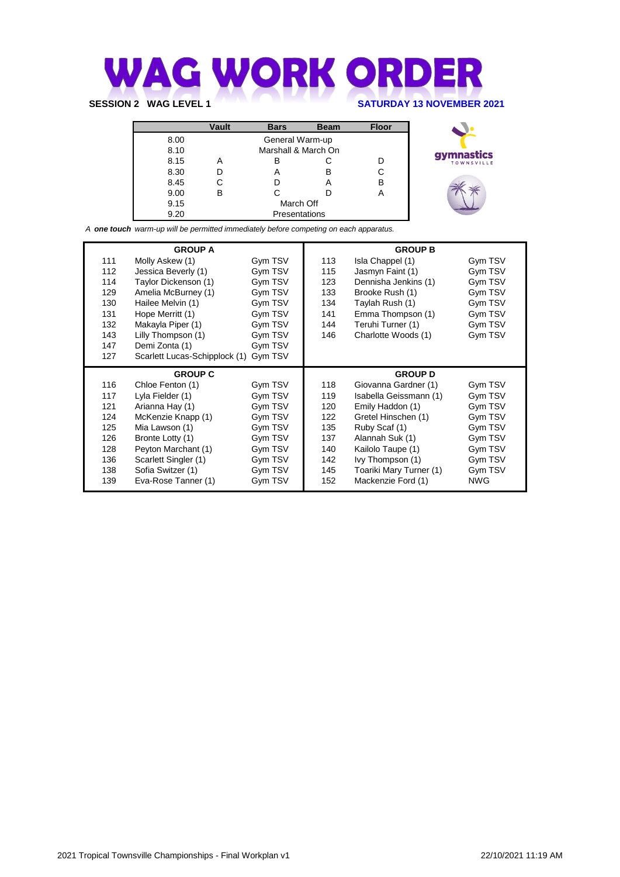# **WAG WORK ORDER SESSION 2 WAG LEVEL 1 SATURDAY 13 NOVEMBER 2021**

|      | Vault | <b>Bars</b>         | <b>Beam</b> | <b>Floor</b> |  |  |  |
|------|-------|---------------------|-------------|--------------|--|--|--|
| 8.00 |       | General Warm-up     |             |              |  |  |  |
| 8.10 |       | Marshall & March On |             |              |  |  |  |
| 8.15 | А     |                     | С           |              |  |  |  |
| 8.30 |       |                     | в           | C            |  |  |  |
| 8.45 |       |                     | А           | В            |  |  |  |
| 9.00 | B     |                     |             | A            |  |  |  |
| 9.15 |       | March Off           |             |              |  |  |  |
| 9.20 |       | Presentations       |             |              |  |  |  |



*A one touch warm-up will be permitted immediately before competing on each apparatus.*

|     | <b>GROUP A</b>                |         |     | <b>GROUP B</b>          |         |
|-----|-------------------------------|---------|-----|-------------------------|---------|
| 111 | Molly Askew (1)               | Gym TSV | 113 | Isla Chappel (1)        | Gym TSV |
| 112 | Jessica Beverly (1)           | Gym TSV | 115 | Jasmyn Faint (1)        | Gym TSV |
| 114 | Taylor Dickenson (1)          | Gym TSV | 123 | Dennisha Jenkins (1)    | Gym TSV |
| 129 | Amelia McBurney (1)           | Gym TSV | 133 | Brooke Rush (1)         | Gym TSV |
| 130 | Hailee Melvin (1)             | Gym TSV | 134 | Taylah Rush (1)         | Gym TSV |
| 131 | Hope Merritt (1)              | Gym TSV | 141 | Emma Thompson (1)       | Gym TSV |
| 132 | Makayla Piper (1)             | Gym TSV | 144 | Teruhi Turner (1)       | Gym TSV |
| 143 | Lilly Thompson (1)            | Gym TSV | 146 | Charlotte Woods (1)     | Gym TSV |
| 147 | Demi Zonta (1)                | Gym TSV |     |                         |         |
| 127 | Scarlett Lucas-Schipplock (1) | Gym TSV |     |                         |         |
|     |                               |         |     |                         |         |
|     | <b>GROUP C</b>                |         |     | <b>GROUP D</b>          |         |
| 116 | Chloe Fenton (1)              | Gym TSV | 118 | Giovanna Gardner (1)    | Gym TSV |
| 117 | Lyla Fielder (1)              | Gym TSV | 119 | Isabella Geissmann (1)  | Gym TSV |
| 121 | Arianna Hay (1)               | Gym TSV | 120 | Emily Haddon (1)        | Gym TSV |
| 124 | McKenzie Knapp (1)            | Gym TSV | 122 | Gretel Hinschen (1)     | Gym TSV |
| 125 | Mia Lawson (1)                | Gym TSV | 135 | Ruby Scaf (1)           | Gym TSV |
| 126 | Bronte Lotty (1)              | Gym TSV | 137 | Alannah Suk (1)         | Gym TSV |
| 128 | Peyton Marchant (1)           | Gym TSV | 140 | Kailolo Taupe (1)       | Gym TSV |
| 136 | Scarlett Singler (1)          | Gym TSV | 142 | Ivy Thompson (1)        | Gym TSV |
| 138 | Sofia Switzer (1)             | Gym TSV | 145 | Toariki Mary Turner (1) | Gym TSV |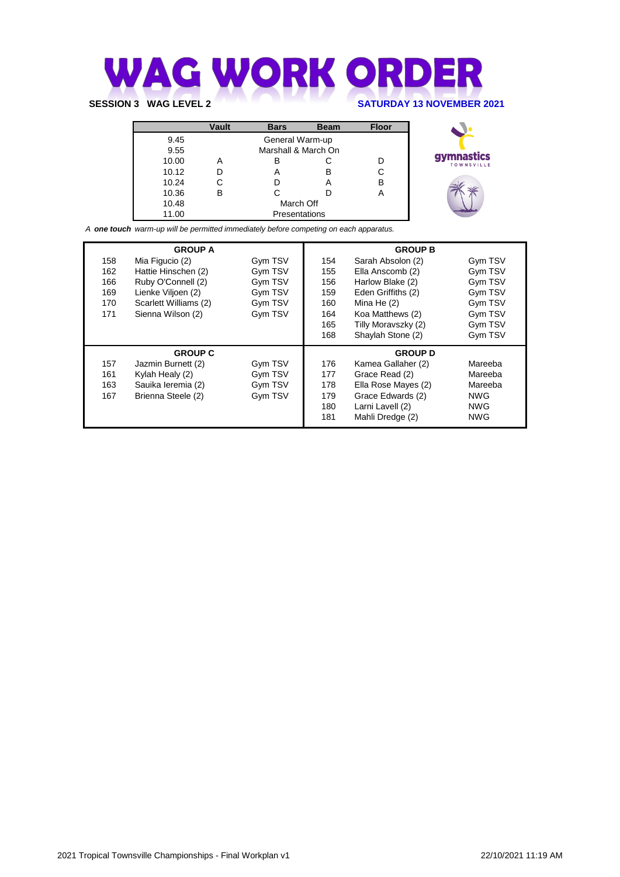

|       | Vault | <b>Bars</b>         | <b>Beam</b> | <b>Floor</b> |                                 |
|-------|-------|---------------------|-------------|--------------|---------------------------------|
| 9.45  |       | General Warm-up     |             |              |                                 |
| 9.55  |       | Marshall & March On |             |              |                                 |
| 10.00 |       |                     |             |              | gymnastics<br><b>TOWNSVILLE</b> |
| 10.12 |       |                     | В           |              |                                 |
| 10.24 |       |                     | А           | В            |                                 |
| 10.36 | в     |                     |             |              |                                 |
| 10.48 |       | March Off           |             |              |                                 |
| 11.00 |       | Presentations       |             |              |                                 |

*A one touch warm-up will be permitted immediately before competing on each apparatus.*

|     | <b>GROUP A</b>        |         |     | <b>GROUP B</b>      |            |
|-----|-----------------------|---------|-----|---------------------|------------|
| 158 | Mia Figucio (2)       | Gym TSV | 154 | Sarah Absolon (2)   | Gym TSV    |
| 162 | Hattie Hinschen (2)   | Gym TSV | 155 | Ella Anscomb (2)    | Gym TSV    |
| 166 | Ruby O'Connell (2)    | Gym TSV | 156 | Harlow Blake (2)    | Gym TSV    |
| 169 | Lienke Viljoen (2)    | Gym TSV | 159 | Eden Griffiths (2)  | Gym TSV    |
| 170 | Scarlett Williams (2) | Gym TSV | 160 | Mina He $(2)$       | Gym TSV    |
| 171 | Sienna Wilson (2)     | Gym TSV | 164 | Koa Matthews (2)    | Gym TSV    |
|     |                       |         | 165 | Tilly Moravszky (2) | Gym TSV    |
|     |                       |         | 168 | Shaylah Stone (2)   | Gym TSV    |
|     | <b>GROUP C</b>        |         |     | <b>GROUP D</b>      |            |
| 157 | Jazmin Burnett (2)    | Gym TSV | 176 | Kamea Gallaher (2)  | Mareeba    |
| 161 | Kylah Healy (2)       | Gym TSV | 177 | Grace Read (2)      | Mareeba    |
| 163 | Sauika leremia (2)    | Gym TSV | 178 | Ella Rose Mayes (2) | Mareeba    |
| 167 | Brienna Steele (2)    | Gym TSV | 179 | Grace Edwards (2)   | <b>NWG</b> |
|     |                       |         | 180 | Larni Lavell (2)    | NWG        |
|     |                       |         | 181 | Mahli Dredge (2)    | NWG        |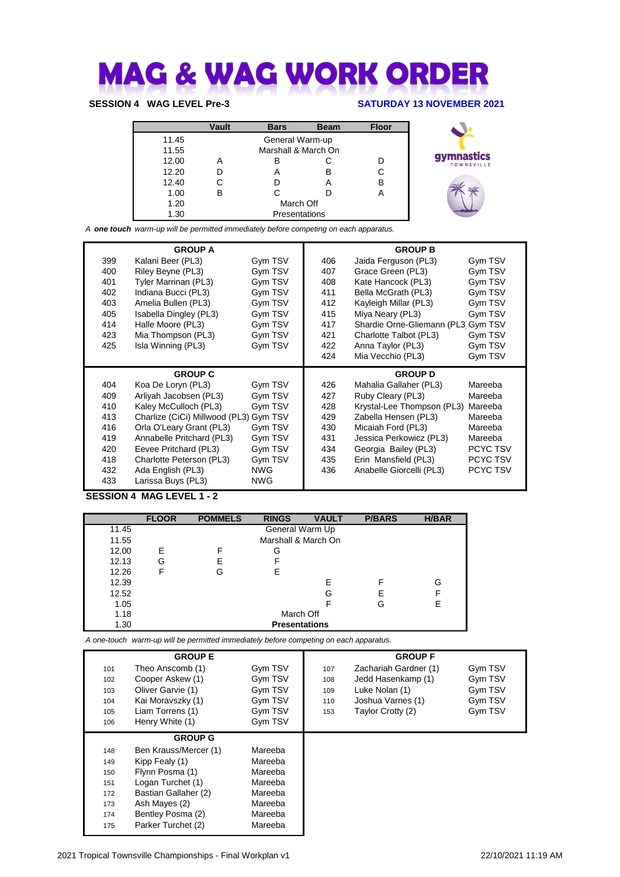# **MAG & WAG WORK ORDER**

### **SESSION 4 WAG LEVEL Pre-3 SATURDAY 13 NOVEMBER 2021**

gymnastics

|       | Vault           | <b>Bars</b>         | <b>Beam</b> | <b>Floor</b> |  |  |  |
|-------|-----------------|---------------------|-------------|--------------|--|--|--|
| 11.45 | General Warm-up |                     |             |              |  |  |  |
| 11.55 |                 | Marshall & March On |             |              |  |  |  |
| 12.00 | А               |                     |             |              |  |  |  |
| 12.20 |                 | A                   | в           |              |  |  |  |
| 12.40 |                 |                     | А           | в            |  |  |  |
| 1.00  | в               | C                   |             | А            |  |  |  |
| 1.20  |                 | March Off           |             |              |  |  |  |
| 1.30  |                 | Presentations       |             |              |  |  |  |

*A one touch warm-up will be permitted immediately before competing on each apparatus.*

|     | <b>GROUP A</b>                         |            |     | <b>GROUP B</b>                      |                 |
|-----|----------------------------------------|------------|-----|-------------------------------------|-----------------|
| 399 | Kalani Beer (PL3)                      | Gym TSV    | 406 | Jaida Ferguson (PL3)                | Gym TSV         |
| 400 | Riley Beyne (PL3)                      | Gym TSV    | 407 | Grace Green (PL3)                   | Gym TSV         |
| 401 | Tyler Marrinan (PL3)                   | Gym TSV    | 408 | Kate Hancock (PL3)                  | Gym TSV         |
| 402 | Indiana Bucci (PL3)                    | Gym TSV    | 411 | Bella McGrath (PL3)                 | Gym TSV         |
| 403 | Amelia Bullen (PL3)                    | Gym TSV    | 412 | Kayleigh Millar (PL3)               | Gym TSV         |
| 405 | Isabella Dingley (PL3)                 | Gym TSV    | 415 | Miya Neary (PL3)                    | Gym TSV         |
| 414 | Halle Moore (PL3)                      | Gym TSV    | 417 | Shardie Orne-Gliemann (PL3) Gym TSV |                 |
| 423 | Mia Thompson (PL3)                     | Gym TSV    | 421 | Charlotte Talbot (PL3)              | Gym TSV         |
| 425 | Isla Winning (PL3)                     | Gym TSV    | 422 | Anna Taylor (PL3)                   | Gym TSV         |
|     |                                        |            | 424 | Mia Vecchio (PL3)                   | Gym TSV         |
|     |                                        |            |     |                                     |                 |
|     | <b>GROUP C</b>                         |            |     | <b>GROUP D</b>                      |                 |
| 404 | Koa De Loryn (PL3)                     | Gym TSV    | 426 | Mahalia Gallaher (PL3)              | Mareeba         |
| 409 | Arliyah Jacobsen (PL3)                 | Gym TSV    | 427 | Ruby Cleary (PL3)                   | Mareeba         |
| 410 | Kaley McCulloch (PL3)                  | Gym TSV    | 428 | Krystal-Lee Thompson (PL3)          | Mareeba         |
| 413 | Charlize (CiCi) Millwood (PL3) Gym TSV |            | 429 | Zabella Hensen (PL3)                | Mareeba         |
| 416 | Orla O'Leary Grant (PL3)               | Gym TSV    | 430 | Micaiah Ford (PL3)                  | Mareeba         |
| 419 | Annabelle Pritchard (PL3)              | Gym TSV    | 431 | Jessica Perkowicz (PL3)             | Mareeba         |
| 420 | Eevee Pritchard (PL3)                  | Gym TSV    | 434 | Georgia Bailey (PL3)                | PCYC TSV        |
| 418 | Charlotte Peterson (PL3)               | Gym TSV    | 435 | Erin Mansfield (PL3)                | PCYC TSV        |
| 432 | Ada English (PL3)                      | <b>NWG</b> | 436 | Anabelle Giorcelli (PL3)            | <b>PCYC TSV</b> |

### **SESSION 4 MAG LEVEL 1 - 2**

|       | <b>FLOOR</b> | <b>POMMELS</b> | <b>RINGS</b>         | <b>VAULT</b> | <b>P/BARS</b> | <b>H/BAR</b> |
|-------|--------------|----------------|----------------------|--------------|---------------|--------------|
| 11.45 |              |                | General Warm Up      |              |               |              |
| 11.55 |              |                | Marshall & March On  |              |               |              |
| 12.00 | Е            | F              | G                    |              |               |              |
| 12.13 | G            | E              | F                    |              |               |              |
| 12.26 | F            | G              | Е                    |              |               |              |
| 12.39 |              |                |                      | Е            | F             | G            |
| 12.52 |              |                |                      | G            | F             | F            |
| 1.05  |              |                |                      | F            | G             | F            |
| 1.18  |              |                | March Off            |              |               |              |
| 1.30  |              |                | <b>Presentations</b> |              |               |              |

*A one-touch warm-up will be permitted immediately before competing on each apparatus.*

|     | <b>GROUP E</b>        |         |     | <b>GROUP F</b>        |         |
|-----|-----------------------|---------|-----|-----------------------|---------|
| 101 | Theo Anscomb (1)      | Gym TSV | 107 | Zachariah Gardner (1) | Gym TSV |
| 102 | Cooper Askew (1)      | Gym TSV | 108 | Jedd Hasenkamp (1)    | Gym TSV |
| 103 | Oliver Garvie (1)     | Gym TSV | 109 | Luke Nolan (1)        | Gym TSV |
| 104 | Kai Moravszky (1)     | Gym TSV | 110 | Joshua Varnes (1)     | Gym TSV |
| 105 | Liam Torrens (1)      | Gym TSV | 153 | Taylor Crotty (2)     | Gym TSV |
| 106 | Henry White (1)       | Gym TSV |     |                       |         |
|     | <b>GROUP G</b>        |         |     |                       |         |
| 148 | Ben Krauss/Mercer (1) | Mareeba |     |                       |         |
| 149 | Kipp Fealy (1)        | Mareeba |     |                       |         |
| 150 | Flynn Posma (1)       | Mareeba |     |                       |         |
| 151 | Logan Turchet (1)     | Mareeba |     |                       |         |
| 172 | Bastian Gallaher (2)  | Mareeba |     |                       |         |
| 173 | Ash Mayes (2)         | Mareeba |     |                       |         |
| 174 | Bentley Posma (2)     | Mareeba |     |                       |         |
| 175 | Parker Turchet (2)    | Mareeba |     |                       |         |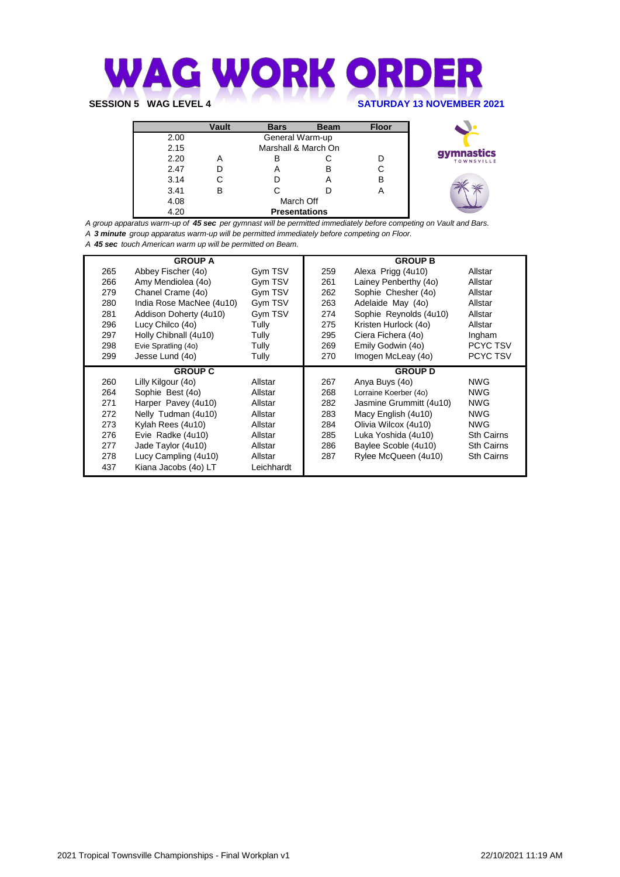# **WAG WORK ORDER SESSION 5 WAG LEVEL 4 SATURDAY 13 NOVEMBER 2021**

|      | Vault | <b>Bars</b>          | <b>Beam</b> | <b>Floor</b> |                   |
|------|-------|----------------------|-------------|--------------|-------------------|
| 2.00 |       | General Warm-up      |             |              |                   |
| 2.15 |       | Marshall & March On  |             |              | gymnastics        |
| 2.20 | A     |                      |             |              | <b>TOWNSVILLE</b> |
| 2.47 |       | 宀                    | В           |              |                   |
| 3.14 |       |                      | A           | в            |                   |
| 3.41 | B     |                      |             | A            |                   |
| 4.08 |       | March Off            |             |              |                   |
| 4.20 |       | <b>Presentations</b> |             |              |                   |

*A group apparatus warm-up of 45 sec per gymnast will be permitted immediately before competing on Vault and Bars.* 

*A 3 minute group apparatus warm-up will be permitted immediately before competing on Floor.*

*A 45 sec touch American warm up will be permitted on Beam.*

|     | <b>GROUP A</b>                          |         |     | <b>GROUP B</b>          |                   |
|-----|-----------------------------------------|---------|-----|-------------------------|-------------------|
| 265 | Abbey Fischer (4o)                      | Gym TSV | 259 | Alexa Prigg (4u10)      | Allstar           |
| 266 | Amy Mendiolea (4o)                      | Gym TSV | 261 | Lainey Penberthy (4o)   | Allstar           |
| 279 | Chanel Crame (4o)                       | Gym TSV | 262 | Sophie Chesher (4o)     | Allstar           |
| 280 | India Rose MacNee (4u10)                | Gym TSV | 263 | Adelaide May (4o)       | Allstar           |
| 281 | Addison Doherty (4u10)                  | Gym TSV | 274 | Sophie Reynolds (4u10)  | Allstar           |
| 296 | Lucy Chilco (4o)                        | Tully   | 275 | Kristen Hurlock (4o)    | Allstar           |
| 297 | Holly Chibnall (4u10)                   | Tully   | 295 | Ciera Fichera (4o)      | Ingham            |
| 298 | Evie Spratling (4o)                     | Tully   | 269 | Emily Godwin (4o)       | PCYC TSV          |
| 299 | Jesse Lund (4o)                         | Tully   | 270 | Imogen McLeay (4o)      | <b>PCYC TSV</b>   |
|     |                                         |         |     |                         |                   |
|     | <b>GROUP C</b>                          |         |     | <b>GROUP D</b>          |                   |
| 260 | Lilly Kilgour (40)                      | Allstar | 267 | Anya Buys (4o)          | <b>NWG</b>        |
| 264 | Sophie Best (4o)                        | Allstar | 268 | Lorraine Koerber (4o)   | <b>NWG</b>        |
| 271 | Harper Pavey (4u10)                     | Allstar | 282 | Jasmine Grummitt (4u10) | <b>NWG</b>        |
| 272 | Nelly Tudman (4u10)                     | Allstar | 283 | Macy English (4u10)     | <b>NWG</b>        |
| 273 | Kylah Rees (4u10)                       | Allstar | 284 | Olivia Wilcox (4u10)    | <b>NWG</b>        |
| 276 |                                         | Allstar | 285 | Luka Yoshida (4u10)     | <b>Sth Cairns</b> |
| 277 | Evie Radke (4u10)<br>Jade Taylor (4u10) | Allstar | 286 | Baylee Scoble (4u10)    | <b>Sth Cairns</b> |
| 278 | Lucy Campling (4u10)                    | Allstar | 287 | Rylee McQueen (4u10)    | <b>Sth Cairns</b> |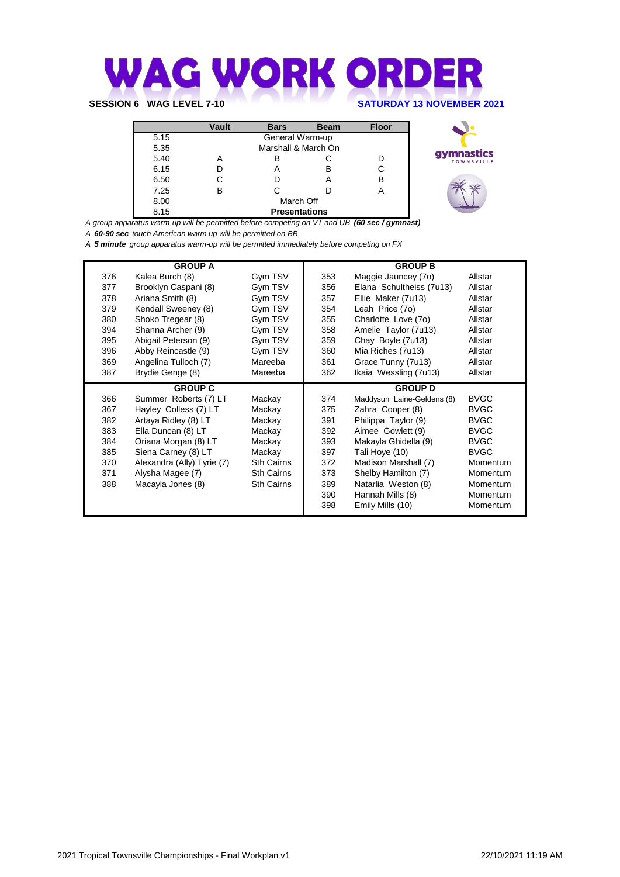

|      | Vault | <b>Bars</b>          | <b>Beam</b> | <b>Floor</b> |                                 |  |  |  |  |  |
|------|-------|----------------------|-------------|--------------|---------------------------------|--|--|--|--|--|
| 5.15 |       | General Warm-up      |             |              |                                 |  |  |  |  |  |
| 5.35 |       | Marshall & March On  |             |              |                                 |  |  |  |  |  |
| 5.40 | Α     | в                    |             |              | gymnastics<br><b>TOWNSVILLE</b> |  |  |  |  |  |
| 6.15 |       |                      | В           |              |                                 |  |  |  |  |  |
| 6.50 |       |                      | А           | в            |                                 |  |  |  |  |  |
| 7.25 | в     |                      |             | 宀            |                                 |  |  |  |  |  |
| 8.00 |       | March Off            |             |              |                                 |  |  |  |  |  |
| 8.15 |       | <b>Presentations</b> |             |              |                                 |  |  |  |  |  |

*A group apparatus warm-up will be permitted before competing on VT and UB (60 sec / gymnast)*

*A 60-90 sec touch American warm up will be permitted on BB*

*A 5 minute group apparatus warm-up will be permitted immediately before competing on FX*

|     | <b>GROUP A</b>             |                   |            | <b>GROUP B</b>                       |                      |
|-----|----------------------------|-------------------|------------|--------------------------------------|----------------------|
| 376 | Kalea Burch (8)            | Gym TSV           | 353        | Maggie Jauncey (7o)                  | Allstar              |
| 377 | Brooklyn Caspani (8)       | Gym TSV           | 356        | Elana Schultheiss (7u13)             | Allstar              |
| 378 | Ariana Smith (8)           | Gym TSV           | 357        | Ellie Maker (7u13)                   | Allstar              |
| 379 | Kendall Sweeney (8)        | Gym TSV           | 354        | Leah Price (70)                      | Allstar              |
| 380 | Shoko Tregear (8)          | Gym TSV           | 355        | Charlotte Love (7o)                  | Allstar              |
| 394 | Shanna Archer (9)          | Gym TSV           | 358        | Amelie Taylor (7u13)                 | Allstar              |
| 395 | Abigail Peterson (9)       | Gym TSV           | 359        | Chay Boyle (7u13)                    | Allstar              |
| 396 | Abby Reincastle (9)        | Gym TSV           | 360        | Mia Riches (7u13)                    | Allstar              |
| 369 | Angelina Tulloch (7)       | Mareeba           | 361        | Grace Tunny (7u13)                   | Allstar              |
| 387 | Brydie Genge (8)           | Mareeba           | 362        | Ikaia Wessling (7u13)                | Allstar              |
|     |                            |                   |            |                                      |                      |
|     |                            |                   |            |                                      |                      |
|     | <b>GROUP C</b>             |                   |            | <b>GROUP D</b>                       |                      |
| 366 | Summer Roberts (7) LT      | Mackay            | 374        | Maddysun Laine-Geldens (8)           | <b>BVGC</b>          |
| 367 | Hayley Colless (7) LT      | Mackay            | 375        | Zahra Cooper (8)                     | <b>BVGC</b>          |
| 382 | Artaya Ridley (8) LT       | Mackay            | 391        | Philippa Taylor (9)                  | <b>BVGC</b>          |
| 383 | Ella Duncan (8) LT         | Mackay            | 392        | Aimee Gowlett (9)                    | <b>BVGC</b>          |
| 384 | Oriana Morgan (8) LT       | Mackay            | 393        | Makayla Ghidella (9)                 | <b>BVGC</b>          |
| 385 | Siena Carney (8) LT        | Mackay            | 397        | Tali Hoye (10)                       | <b>BVGC</b>          |
| 370 | Alexandra (Ally) Tyrie (7) | <b>Sth Cairns</b> | 372        | Madison Marshall (7)                 | Momentum             |
| 371 | Alysha Magee (7)           | <b>Sth Cairns</b> | 373        | Shelby Hamilton (7)                  | Momentum             |
| 388 | Macayla Jones (8)          | <b>Sth Cairns</b> | 389        | Natarlia Weston (8)                  | Momentum             |
|     |                            |                   | 390<br>398 | Hannah Mills (8)<br>Emily Mills (10) | Momentum<br>Momentum |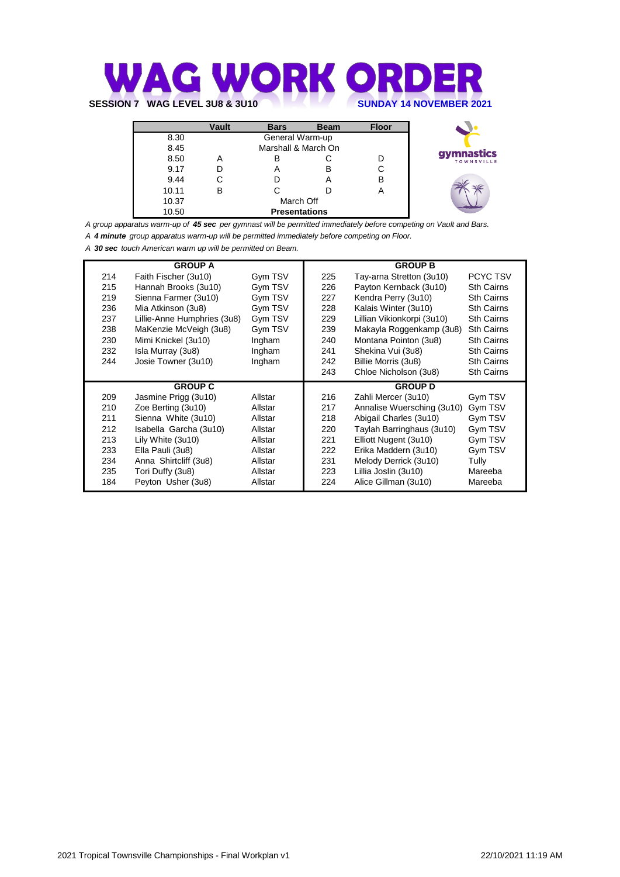## **WAG WORK ORDER SESSION 7 WAG LEVEL 3U8 & 3U10 SUNDAY 14 NOVEMBER 2021**

|       | Vault | <b>Bars</b>          | <b>Beam</b> | <b>Floor</b> |                                 |
|-------|-------|----------------------|-------------|--------------|---------------------------------|
| 8.30  |       | General Warm-up      |             |              |                                 |
| 8.45  |       | Marshall & March On  |             |              |                                 |
| 8.50  |       |                      |             |              | gymnastics<br><b>TOWNSVILLE</b> |
| 9.17  |       |                      | в           |              |                                 |
| 9.44  |       |                      | A           | В            |                                 |
| 10.11 | В     |                      |             | $\mathsf{A}$ |                                 |
| 10.37 |       | March Off            |             |              |                                 |
| 10.50 |       | <b>Presentations</b> |             |              |                                 |

*A group apparatus warm-up of 45 sec per gymnast will be permitted immediately before competing on Vault and Bars.* 

*A 4 minute group apparatus warm-up will be permitted immediately before competing on Floor.*

*A 30 sec touch American warm up will be permitted on Beam.*

|     | <b>GROUP A</b>              |         |     | <b>GROUP B</b>             |                   |
|-----|-----------------------------|---------|-----|----------------------------|-------------------|
| 214 | Faith Fischer (3u10)        | Gym TSV | 225 | Tay-arna Stretton (3u10)   | PCYC TSV          |
| 215 | Hannah Brooks (3u10)        | Gym TSV | 226 | Payton Kernback (3u10)     | <b>Sth Cairns</b> |
| 219 | Sienna Farmer (3u10)        | Gym TSV | 227 | Kendra Perry (3u10)        | <b>Sth Cairns</b> |
| 236 | Mia Atkinson (3u8)          | Gym TSV | 228 | Kalais Winter (3u10)       | <b>Sth Cairns</b> |
| 237 | Lillie-Anne Humphries (3u8) | Gym TSV | 229 | Lillian Vikionkorpi (3u10) | <b>Sth Cairns</b> |
| 238 | MaKenzie McVeigh (3u8)      | Gym TSV | 239 | Makayla Roggenkamp (3u8)   | <b>Sth Cairns</b> |
| 230 | Mimi Knickel (3u10)         | Ingham  | 240 | Montana Pointon (3u8)      | <b>Sth Cairns</b> |
| 232 | Isla Murray (3u8)           | Ingham  | 241 | Shekina Vui (3u8)          | <b>Sth Cairns</b> |
| 244 | Josie Towner (3u10)         | Ingham  | 242 | Billie Morris (3u8)        | <b>Sth Cairns</b> |
|     |                             |         | 243 | Chloe Nicholson (3u8)      | <b>Sth Cairns</b> |
|     | <b>GROUP C</b>              |         |     | <b>GROUP D</b>             |                   |
| 209 | Jasmine Prigg (3u10)        | Allstar | 216 | Zahli Mercer (3u10)        | Gym TSV           |
|     |                             |         |     |                            |                   |
| 210 | Zoe Berting (3u10)          | Allstar | 217 | Annalise Wuersching (3u10) | Gym TSV           |
| 211 | Sienna White (3u10)         | Allstar | 218 | Abigail Charles (3u10)     | Gym TSV           |
| 212 | Isabella Garcha (3u10)      | Allstar | 220 | Taylah Barringhaus (3u10)  | Gym TSV           |
| 213 | Lily White (3u10)           | Allstar | 221 | Elliott Nugent (3u10)      | Gym TSV           |
| 233 | Ella Pauli (3u8)            | Allstar | 222 | Erika Maddern (3u10)       | Gym TSV           |
| 234 | Anna Shirtcliff (3u8)       | Allstar | 231 | Melody Derrick (3u10)      | Tully             |
| 235 | Tori Duffy (3u8)            | Allstar | 223 | Lillia Joslin (3u10)       | Mareeba           |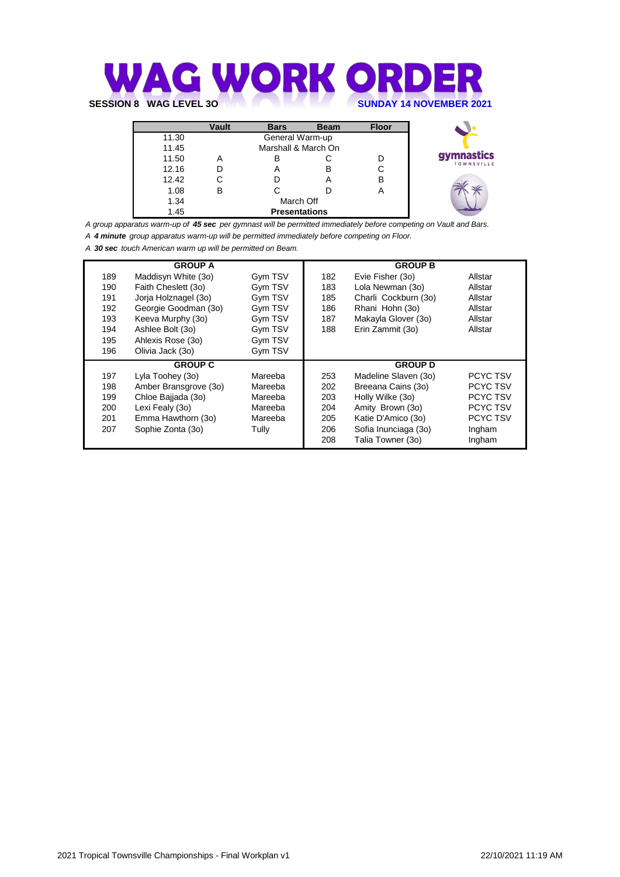# **SESSION 8 WAG LEVEL 30 WORK ORDER**

|       | Vault | <b>Bars</b>          | <b>Beam</b> | <b>Floor</b> |                                 |
|-------|-------|----------------------|-------------|--------------|---------------------------------|
| 11.30 |       | General Warm-up      |             |              |                                 |
| 11.45 |       | Marshall & March On  |             |              |                                 |
| 11.50 |       |                      |             |              | gymnastics<br><b>TOWNSVILLE</b> |
| 12.16 |       |                      | B           |              |                                 |
| 12.42 |       |                      | А           | в            |                                 |
| 1.08  | В     |                      |             | A            |                                 |
| 1.34  |       | March Off            |             |              |                                 |
| 1.45  |       | <b>Presentations</b> |             |              |                                 |

*A group apparatus warm-up of 45 sec per gymnast will be permitted immediately before competing on Vault and Bars.* 

*A 4 minute group apparatus warm-up will be permitted immediately before competing on Floor.*

*A 30 sec touch American warm up will be permitted on Beam.*

|                                        | <b>GROUP A</b>                                                                                                                      |                                                                |                                               | <b>GROUP B</b>                                                                                                                                        |                                                                                                                 |  |  |  |  |  |
|----------------------------------------|-------------------------------------------------------------------------------------------------------------------------------------|----------------------------------------------------------------|-----------------------------------------------|-------------------------------------------------------------------------------------------------------------------------------------------------------|-----------------------------------------------------------------------------------------------------------------|--|--|--|--|--|
| 189<br>190<br>191<br>192<br>193<br>194 | Maddisyn White (30)<br>Faith Cheslett (30)<br>Jorja Holznagel (30)<br>Georgie Goodman (30)<br>Keeva Murphy (30)<br>Ashlee Bolt (30) | Gym TSV<br>Gym TSV<br>Gym TSV<br>Gym TSV<br>Gym TSV<br>Gym TSV | 182<br>183<br>185<br>186<br>187<br>188        | Evie Fisher (30)<br>Lola Newman (30)<br>Charli Cockburn (30)<br>Rhani Hohn (30)<br>Makayla Glover (30)<br>Erin Zammit (30)                            | Allstar<br>Allstar<br>Allstar<br>Allstar<br>Allstar<br>Allstar                                                  |  |  |  |  |  |
| 195<br>196                             | Ahlexis Rose (30)<br>Olivia Jack (30)                                                                                               | Gym TSV<br>Gym TSV                                             |                                               |                                                                                                                                                       |                                                                                                                 |  |  |  |  |  |
|                                        | <b>GROUP C</b>                                                                                                                      |                                                                | <b>GROUP D</b>                                |                                                                                                                                                       |                                                                                                                 |  |  |  |  |  |
| 197<br>198<br>199<br>200<br>201<br>207 | Lyla Toohey (3o)<br>Amber Bransgrove (3o)<br>Chloe Baijada (30)<br>Lexi Fealy (30)<br>Emma Hawthorn (30)<br>Sophie Zonta (30)       | Mareeba<br>Mareeba<br>Mareeba<br>Mareeba<br>Mareeba<br>Tully   | 253<br>202<br>203<br>204<br>205<br>206<br>208 | Madeline Slaven (30)<br>Breeana Cains (30)<br>Holly Wilke (30)<br>Amity Brown (30)<br>Katie D'Amico (30)<br>Sofia Inunciaga (30)<br>Talia Towner (3o) | <b>PCYC TSV</b><br><b>PCYC TSV</b><br><b>PCYC TSV</b><br><b>PCYC TSV</b><br><b>PCYC TSV</b><br>Ingham<br>Ingham |  |  |  |  |  |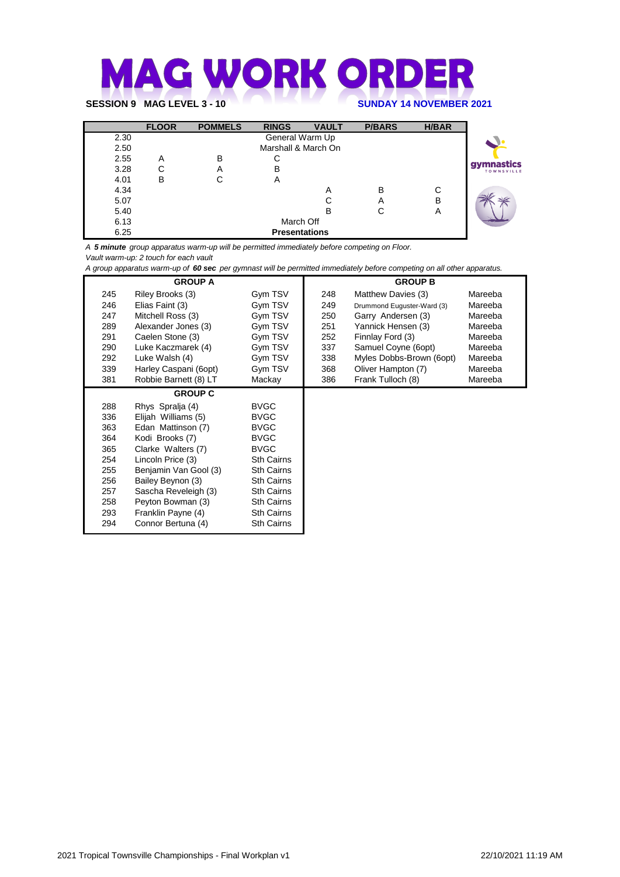## **MAG WORK ORDER SESSION 9 MAG LEVEL 3 - 10 SUNDAY 14 NOVEMBER 2021**

|      | <b>FLOOR</b> | <b>POMMELS</b> | <b>RINGS</b>         | <b>VAULT</b> | <b>P/BARS</b> | <b>H/BAR</b> |                          |
|------|--------------|----------------|----------------------|--------------|---------------|--------------|--------------------------|
| 2.30 |              |                | General Warm Up      |              |               |              |                          |
| 2.50 |              |                | Marshall & March On  |              |               |              |                          |
| 2.55 | A            | в              | С                    |              |               |              |                          |
| 3.28 | C            | Α              | B                    |              |               |              | gymnastics<br>TOWNSVILLE |
| 4.01 | В            | С              | A                    |              |               |              |                          |
| 4.34 |              |                |                      | A            | B             | С            |                          |
| 5.07 |              |                |                      | С            | Α             | B            |                          |
| 5.40 |              |                |                      | B            | С             | A            |                          |
| 6.13 |              |                | March Off            |              |               |              |                          |
| 6.25 |              |                | <b>Presentations</b> |              |               |              |                          |

*A 5 minute group apparatus warm-up will be permitted immediately before competing on Floor. Vault warm-up: 2 touch for each vault*

*A group apparatus warm-up of 60 sec per gymnast will be permitted immediately before competing on all other apparatus.* 

|     | <b>GROUP A</b>        |                   |     | <b>GROUP B</b>             |         |
|-----|-----------------------|-------------------|-----|----------------------------|---------|
| 245 | Riley Brooks (3)      | Gym TSV           | 248 | Matthew Davies (3)         | Mareeba |
| 246 | Elias Faint (3)       | Gym TSV           | 249 | Drummond Euguster-Ward (3) | Mareeba |
| 247 | Mitchell Ross (3)     | Gym TSV           | 250 | Garry Andersen (3)         | Mareeba |
| 289 | Alexander Jones (3)   | Gym TSV           | 251 | Yannick Hensen (3)         | Mareeba |
| 291 | Caelen Stone (3)      | Gym TSV           | 252 | Finnlay Ford (3)           | Mareeba |
| 290 | Luke Kaczmarek (4)    | Gym TSV           | 337 | Samuel Coyne (6opt)        | Mareeba |
| 292 | Luke Walsh (4)        | Gym TSV           | 338 | Myles Dobbs-Brown (6opt)   | Mareeba |
| 339 | Harley Caspani (6opt) | Gym TSV           | 368 | Oliver Hampton (7)         | Mareeba |
| 381 | Robbie Barnett (8) LT | Mackay            | 386 | Frank Tulloch (8)          | Mareeba |
|     | <b>GROUP C</b>        |                   |     |                            |         |
| 288 | Rhys Spralja (4)      | <b>BVGC</b>       |     |                            |         |
| 336 | Elijah Williams (5)   | <b>BVGC</b>       |     |                            |         |
| 363 | Edan Mattinson (7)    | <b>BVGC</b>       |     |                            |         |
| 364 | Kodi Brooks (7)       | <b>BVGC</b>       |     |                            |         |
| 365 | Clarke Walters (7)    | <b>BVGC</b>       |     |                            |         |
| 254 | Lincoln Price (3)     | Sth Cairns        |     |                            |         |
| 255 | Benjamin Van Gool (3) | <b>Sth Cairns</b> |     |                            |         |
| 256 | Bailey Beynon (3)     | <b>Sth Cairns</b> |     |                            |         |
| 257 | Sascha Reveleigh (3)  | <b>Sth Cairns</b> |     |                            |         |
| 258 | Peyton Bowman (3)     | <b>Sth Cairns</b> |     |                            |         |
| 293 | Franklin Payne (4)    | <b>Sth Cairns</b> |     |                            |         |
| 294 | Connor Bertuna (4)    | <b>Sth Cairns</b> |     |                            |         |
|     |                       |                   |     |                            |         |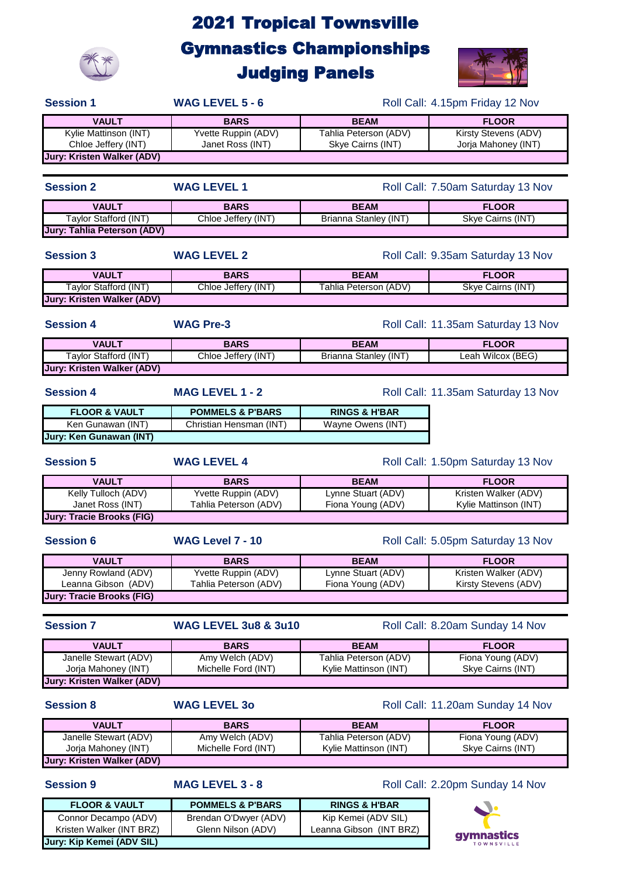# 2021 Tropical Townsville



Judging Panels

₹₹



**gymnastics** 

| <b>Session 1</b>                             | <b>WAG LEVEL 5 - 6</b>                  |                                            | Roll Call: 4.15pm Friday 12 Nov             |  |  |  |  |  |  |
|----------------------------------------------|-----------------------------------------|--------------------------------------------|---------------------------------------------|--|--|--|--|--|--|
| <b>VAULT</b>                                 | <b>BARS</b>                             | <b>BEAM</b>                                | <b>FLOOR</b>                                |  |  |  |  |  |  |
| Kylie Mattinson (INT)<br>Chloe Jeffery (INT) | Yvette Ruppin (ADV)<br>Janet Ross (INT) | Tahlia Peterson (ADV)<br>Skye Cairns (INT) | Kirsty Stevens (ADV)<br>Jorja Mahoney (INT) |  |  |  |  |  |  |
| <b>Jury: Kristen Walker (ADV)</b>            |                                         |                                            |                                             |  |  |  |  |  |  |
|                                              |                                         |                                            |                                             |  |  |  |  |  |  |
| <b>Session 2</b>                             | <b>WAG LEVEL 1</b>                      |                                            | Roll Call: 7.50am Saturday 13 Nov           |  |  |  |  |  |  |
| <b>VAULT</b>                                 | <b>BARS</b>                             | <b>BEAM</b>                                | <b>FLOOR</b>                                |  |  |  |  |  |  |
| Taylor Stafford (INT)                        | Chloe Jeffery (INT)                     | Brianna Stanley (INT)                      | Skye Cairns (INT)                           |  |  |  |  |  |  |
| <b>Jury: Tahlia Peterson (ADV)</b>           |                                         |                                            |                                             |  |  |  |  |  |  |
| <b>Session 3</b>                             | <b>WAG LEVEL 2</b>                      |                                            | Roll Call: 9.35am Saturday 13 Nov           |  |  |  |  |  |  |
| <b>VAULT</b>                                 | <b>BARS</b>                             | <b>BEAM</b>                                | <b>FLOOR</b>                                |  |  |  |  |  |  |
| Taylor Stafford (INT)                        | Chloe Jeffery (INT)                     | Tahlia Peterson (ADV)                      | Skye Cairns (INT)                           |  |  |  |  |  |  |
| <b>Jury: Kristen Walker (ADV)</b>            |                                         |                                            |                                             |  |  |  |  |  |  |
| <b>Session 4</b>                             | <b>WAG Pre-3</b>                        |                                            | Roll Call: 11.35am Saturday 13 Nov          |  |  |  |  |  |  |
| <b>VAULT</b>                                 | <b>BARS</b>                             | <b>BEAM</b>                                | <b>FLOOR</b>                                |  |  |  |  |  |  |
| Taylor Stafford (INT)                        | Chloe Jeffery (INT)                     | <b>Brianna Stanley (INT)</b>               | Leah Wilcox (BEG)                           |  |  |  |  |  |  |
| <b>Jury: Kristen Walker (ADV)</b>            |                                         |                                            |                                             |  |  |  |  |  |  |
| <b>Session 4</b>                             | <b>MAG LEVEL 1 - 2</b>                  |                                            | Roll Call: 11.35am Saturday 13 Nov          |  |  |  |  |  |  |
| <b>FLOOR &amp; VAULT</b>                     | <b>POMMELS &amp; P'BARS</b>             | <b>RINGS &amp; H'BAR</b>                   |                                             |  |  |  |  |  |  |
| Ken Gunawan (INT)                            | Christian Hensman (INT)                 | Wayne Owens (INT)                          |                                             |  |  |  |  |  |  |
| Jury: Ken Gunawan (INT)                      |                                         |                                            |                                             |  |  |  |  |  |  |
| <b>Session 5</b>                             | <b>WAG LEVEL 4</b>                      |                                            | Roll Call: 1.50pm Saturday 13 Nov           |  |  |  |  |  |  |
| <b>VAULT</b>                                 | <b>BARS</b>                             | <b>BEAM</b>                                | <b>FLOOR</b>                                |  |  |  |  |  |  |
| Kelly Tulloch (ADV)                          | Yvette Ruppin (ADV)                     | Lynne Stuart (ADV)                         | Kristen Walker (ADV)                        |  |  |  |  |  |  |
| Janet Ross (INT)                             | Tahlia Peterson (ADV)                   | Fiona Young (ADV)                          | Kylie Mattinson (INT)                       |  |  |  |  |  |  |
| <b>Jury: Tracie Brooks (FIG)</b>             |                                         |                                            |                                             |  |  |  |  |  |  |
| <b>Session 6</b>                             | <b>WAG Level 7 - 10</b>                 |                                            | Roll Call: 5.05pm Saturday 13 Nov           |  |  |  |  |  |  |
| <b>VAULT</b>                                 | <b>BARS</b>                             | <b>BEAM</b>                                | <b>FLOOR</b>                                |  |  |  |  |  |  |
| Jenny Rowland (ADV)                          | Yvette Ruppin (ADV)                     | Lynne Stuart (ADV)                         | Kristen Walker (ADV)                        |  |  |  |  |  |  |
| Leanna Gibson (ADV)                          | Tahlia Peterson (ADV)                   | Fiona Young (ADV)                          | Kirsty Stevens (ADV)                        |  |  |  |  |  |  |
| <b>Jury: Tracie Brooks (FIG)</b>             |                                         |                                            |                                             |  |  |  |  |  |  |
|                                              |                                         |                                            |                                             |  |  |  |  |  |  |
| <b>Session 7</b>                             | <b>WAG LEVEL 3u8 &amp; 3u10</b>         |                                            | Roll Call: 8.20am Sunday 14 Nov             |  |  |  |  |  |  |
| <b>VAULT</b>                                 | <b>BARS</b>                             | <b>BEAM</b>                                | <b>FLOOR</b>                                |  |  |  |  |  |  |
| Janelle Stewart (ADV)                        | Amy Welch (ADV)                         | Tahlia Peterson (ADV)                      | Fiona Young (ADV)                           |  |  |  |  |  |  |
| Jorja Mahoney (INT)                          | Michelle Ford (INT)                     | Kylie Mattinson (INT)                      | Skye Cairns (INT)                           |  |  |  |  |  |  |
| Jury: Kristen Walker (ADV)                   |                                         |                                            |                                             |  |  |  |  |  |  |
| <b>Session 8</b>                             | <b>WAG LEVEL 30</b>                     |                                            | Roll Call: 11.20am Sunday 14 Nov            |  |  |  |  |  |  |
| <b>VAULT</b>                                 | <b>BARS</b>                             | <b>BEAM</b>                                | <b>FLOOR</b>                                |  |  |  |  |  |  |
| Janelle Stewart (ADV)                        | Amy Welch (ADV)                         | Tahlia Peterson (ADV)                      | Fiona Young (ADV)                           |  |  |  |  |  |  |
| Jorja Mahoney (INT)                          | Michelle Ford (INT)                     | Kylie Mattinson (INT)                      | Skye Cairns (INT)                           |  |  |  |  |  |  |
| <b>Jury: Kristen Walker (ADV)</b>            |                                         |                                            |                                             |  |  |  |  |  |  |
| <b>Session 9</b>                             | <b>MAG LEVEL 3 - 8</b>                  |                                            | Roll Call: 2.20pm Sunday 14 Nov             |  |  |  |  |  |  |

| <b>POMMELS &amp; P'BARS</b> | <b>RINGS &amp; H'BAR</b> |
|-----------------------------|--------------------------|
| Brendan O'Dwyer (ADV)       | Kip Kemei (ADV SIL)      |
| Glenn Nilson (ADV)          | Leanna Gibson (INT BRZ)  |
|                             |                          |
|                             |                          |